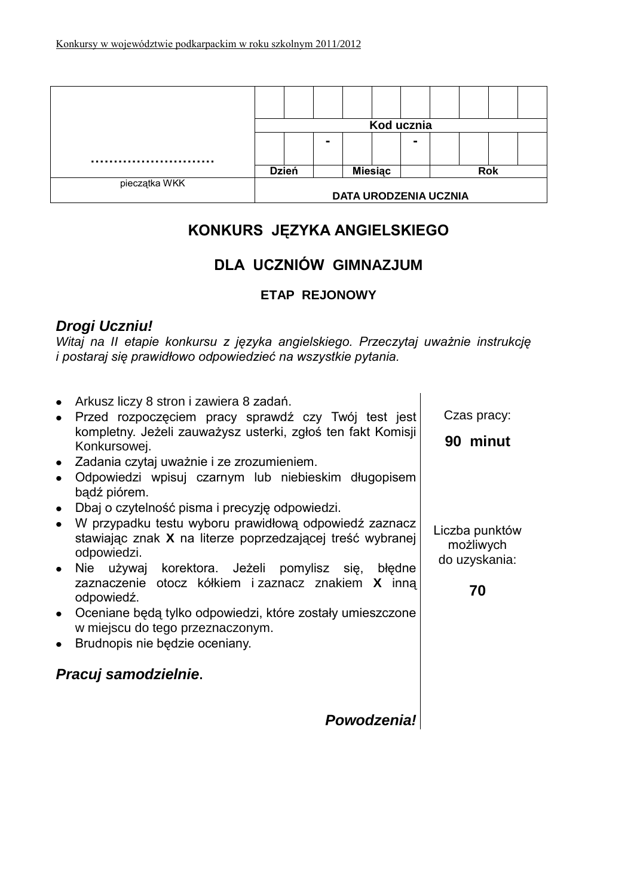|               |                              |                |                |  | Kod ucznia |            |  |  |  |
|---------------|------------------------------|----------------|----------------|--|------------|------------|--|--|--|
|               |                              | $\blacksquare$ |                |  | -          |            |  |  |  |
|               |                              |                |                |  |            |            |  |  |  |
|               | <b>Dzień</b>                 |                | <b>Miesiac</b> |  |            | <b>Rok</b> |  |  |  |
| pieczątka WKK | <b>DATA URODZENIA UCZNIA</b> |                |                |  |            |            |  |  |  |

# **KONKURS JĘZYKA ANGIELSKIEGO**

## **DLA UCZNIÓW GIMNAZJUM**

### **ETAP REJONOWY**

## *Drogi Uczniu!*

*Witaj na II etapie konkursu z języka angielskiego. Przeczytaj uważnie instrukcję i postaraj się prawidłowo odpowiedzieć na wszystkie pytania.*

| Arkusz liczy 8 stron i zawiera 8 zadań.<br>Przed rozpoczęciem pracy sprawdź czy Twój test jest<br>kompletny. Jeżeli zauważysz usterki, zgłoś ten fakt Komisji<br>Konkursowej.<br>• Zadania czytaj uważnie i ze zrozumieniem.<br>Odpowiedzi wpisuj czarnym lub niebieskim długopisem<br>badź piórem.<br>Dbaj o czytelność pisma i precyzję odpowiedzi.<br>• W przypadku testu wyboru prawidłową odpowiedź zaznacz<br>stawiając znak X na literze poprzedzającej treść wybranej<br>odpowiedzi.<br>• Nie używaj korektora. Jeżeli pomylisz się, błędne<br>zaznaczenie otocz kółkiem i zaznacz znakiem X inna<br>odpowiedź.<br>• Oceniane będą tylko odpowiedzi, które zostały umieszczone<br>w miejscu do tego przeznaczonym.<br>Brudnopis nie będzie oceniany.<br>$\bullet$ | Czas pracy:<br>90 minut<br>Liczba punktów<br>możliwych<br>do uzyskania:<br>70 |
|---------------------------------------------------------------------------------------------------------------------------------------------------------------------------------------------------------------------------------------------------------------------------------------------------------------------------------------------------------------------------------------------------------------------------------------------------------------------------------------------------------------------------------------------------------------------------------------------------------------------------------------------------------------------------------------------------------------------------------------------------------------------------|-------------------------------------------------------------------------------|
| Pracuj samodzielnie.                                                                                                                                                                                                                                                                                                                                                                                                                                                                                                                                                                                                                                                                                                                                                      |                                                                               |
| <b>Powodzenia!</b>                                                                                                                                                                                                                                                                                                                                                                                                                                                                                                                                                                                                                                                                                                                                                        |                                                                               |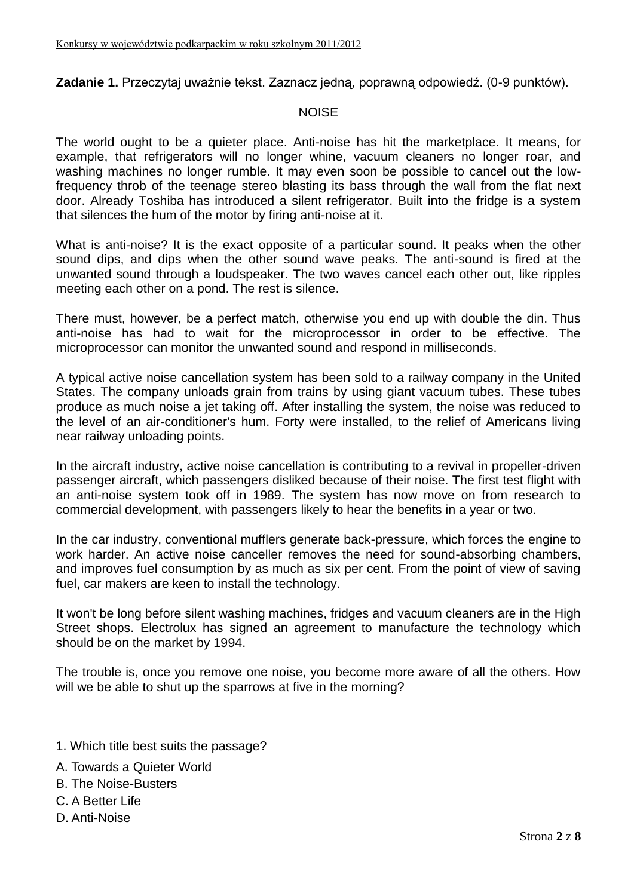**Zadanie 1.** Przeczytaj uważnie tekst. Zaznacz jedną, poprawną odpowiedź. (0-9 punktów).

#### **NOISE**

The world ought to be a quieter place. Anti-noise has hit the marketplace. It means, for example, that refrigerators will no longer whine, vacuum cleaners no longer roar, and washing machines no longer rumble. It may even soon be possible to cancel out the lowfrequency throb of the teenage stereo blasting its bass through the wall from the flat next door. Already Toshiba has introduced a silent refrigerator. Built into the fridge is a system that silences the hum of the motor by firing anti-noise at it.

What is anti-noise? It is the exact opposite of a particular sound. It peaks when the other sound dips, and dips when the other sound wave peaks. The anti-sound is fired at the unwanted sound through a loudspeaker. The two waves cancel each other out, like ripples meeting each other on a pond. The rest is silence.

There must, however, be a perfect match, otherwise you end up with double the din. Thus anti-noise has had to wait for the microprocessor in order to be effective. The microprocessor can monitor the unwanted sound and respond in milliseconds.

A typical active noise cancellation system has been sold to a railway company in the United States. The company unloads grain from trains by using giant vacuum tubes. These tubes produce as much noise a jet taking off. After installing the system, the noise was reduced to the level of an air-conditioner's hum. Forty were installed, to the relief of Americans living near railway unloading points.

In the aircraft industry, active noise cancellation is contributing to a revival in propeller-driven passenger aircraft, which passengers disliked because of their noise. The first test flight with an anti-noise system took off in 1989. The system has now move on from research to commercial development, with passengers likely to hear the benefits in a year or two.

In the car industry, conventional mufflers generate back-pressure, which forces the engine to work harder. An active noise canceller removes the need for sound-absorbing chambers, and improves fuel consumption by as much as six per cent. From the point of view of saving fuel, car makers are keen to install the technology.

It won't be long before silent washing machines, fridges and vacuum cleaners are in the High Street shops. Electrolux has signed an agreement to manufacture the technology which should be on the market by 1994.

The trouble is, once you remove one noise, you become more aware of all the others. How will we be able to shut up the sparrows at five in the morning?

- 1. Which title best suits the passage?
- A. Towards a Quieter World
- B. The Noise-Busters
- C. A Better Life
- D. Anti-Noise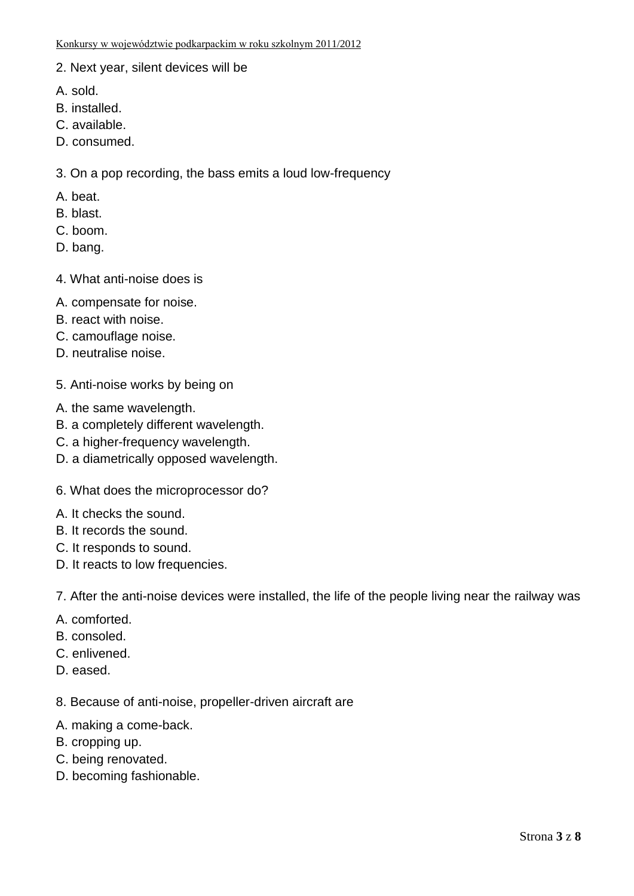- 2. Next year, silent devices will be
- A. sold.
- B. installed.
- C. available.
- D. consumed.

3. On a pop recording, the bass emits a loud low-frequency

- A. beat.
- B. blast.
- C. boom.
- D. bang.
- 4. What anti-noise does is
- A. compensate for noise.
- B. react with noise.
- C. camouflage noise.
- D. neutralise noise.
- 5. Anti-noise works by being on
- A. the same wavelength.
- B. a completely different wavelength.
- C. a higher-frequency wavelength.
- D. a diametrically opposed wavelength.
- 6. What does the microprocessor do?
- A. It checks the sound.
- B. It records the sound.
- C. It responds to sound.
- D. It reacts to low frequencies.

7. After the anti-noise devices were installed, the life of the people living near the railway was

- A. comforted.
- B. consoled.
- C. enlivened.
- D. eased.

8. Because of anti-noise, propeller-driven aircraft are

- A. making a come-back.
- B. cropping up.
- C. being renovated.
- D. becoming fashionable.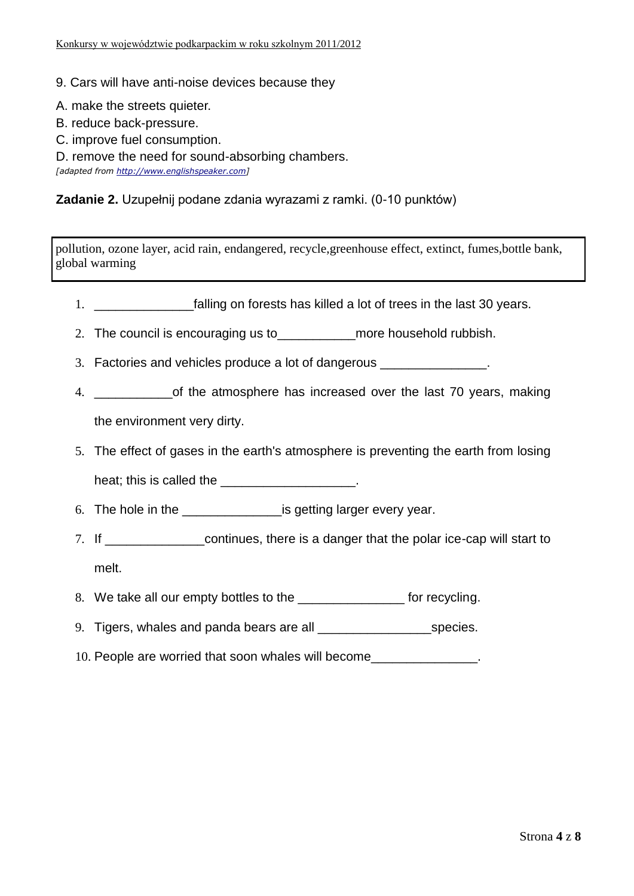- 9. Cars will have anti-noise devices because they
- A. make the streets quieter.
- B. reduce back-pressure.
- C. improve fuel consumption.
- D. remove the need for sound-absorbing chambers.

*[adapted from [http://www.englishspeaker.com\]](http://www.englishspeaker.com/)*

#### **Zadanie 2.** Uzupełnij podane zdania wyrazami z ramki. (0-10 punktów)

pollution, ozone layer, acid rain, endangered, recycle,greenhouse effect, extinct, fumes,bottle bank, global warming

- 1. \_\_\_\_\_\_\_\_\_\_\_\_\_\_falling on forests has killed a lot of trees in the last 30 years.
- 2. The council is encouraging us to more household rubbish.
- 3. Factories and vehicles produce a lot of dangerous **Factories** and vehicles produce a lot of dangerous
- 4. \_\_\_\_\_\_\_\_\_\_\_of the atmosphere has increased over the last 70 years, making the environment very dirty.
- 5. The effect of gases in the earth's atmosphere is preventing the earth from losing heat; this is called the **EXALL**
- 6. The hole in the same is getting larger every year.
- 7. If \_\_\_\_\_\_\_\_\_\_\_\_\_\_continues, there is a danger that the polar ice-cap will start to melt.
- 8. We take all our empty bottles to the \_\_\_\_\_\_\_\_\_\_\_\_\_\_\_\_\_\_ for recycling.
- 9. Tigers, whales and panda bears are all \_\_\_\_\_\_\_\_\_\_\_\_\_\_\_\_species.
- 10. People are worried that soon whales will become\_\_\_\_\_\_\_\_\_\_\_\_\_\_\_.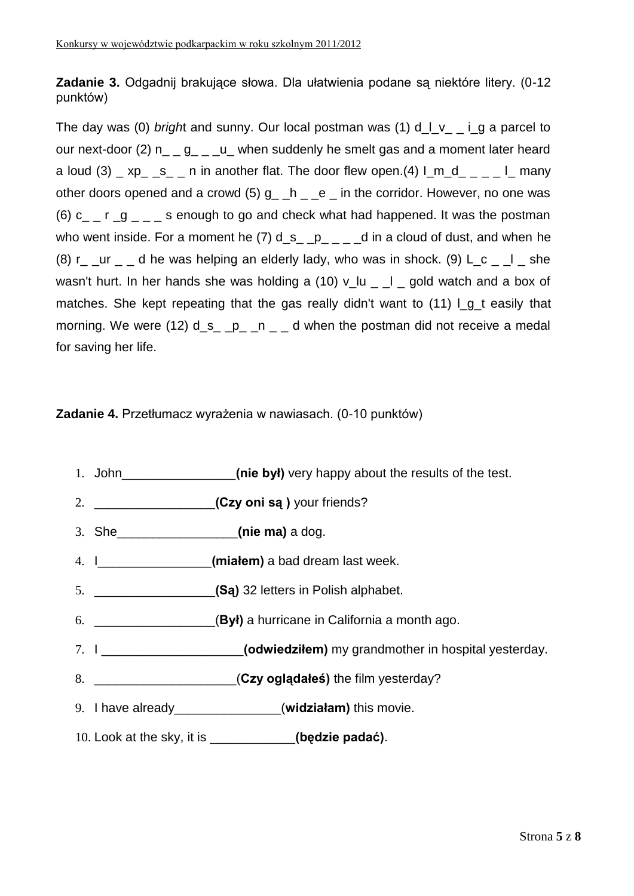**Zadanie 3.** Odgadnij brakujące słowa. Dla ułatwienia podane są niektóre litery. (0-12 punktów)

The day was (0) *bright* and sunny. Our local postman was (1) d l v i g a parcel to our next-door (2)  $n_{-}$  g<sub>-</sub>  $u_{-}$  when suddenly he smelt gas and a moment later heard a loud (3)  $\mu$  xp<sub>\_</sub> s<sub>\_</sub> n in another flat. The door flew open.(4)  $\mu$  m\_d<sub>\_ \_</sub> \_  $\mu$  many other doors opened and a crowd  $(5)$  q  $-h$   $-e$  in the corridor. However, no one was (6) c\_  $r$   $q$   $_{\sim}$   $\sim$  s enough to go and check what had happened. It was the postman who went inside. For a moment he (7)  $d_s$   $p_{-}$   $q_{-}$  d in a cloud of dust, and when he (8) r  $ur$  d he was helping an elderly lady, who was in shock. (9) L c  $\Box$  she wasn't hurt. In her hands she was holding a (10)  $v_l$ u \_ | gold watch and a box of matches. She kept repeating that the gas really didn't want to  $(11)$  I g t easily that morning. We were (12)  $d_s$  \_ p\_ \_n \_ \_ d when the postman did not receive a medal for saving her life.

### **Zadanie 4.** Przetłumacz wyrażenia w nawiasach. (0-10 punktów)

- 1. John **come of the byl)** very happy about the results of the test.
- 2. \_\_\_\_\_\_\_\_\_\_\_\_\_\_\_\_\_**(Czy oni są )** your friends?
- 3. She\_\_\_\_\_\_\_\_\_\_\_\_\_\_\_\_\_**(nie ma)** a dog.
- 4. I\_\_\_\_\_\_\_\_\_\_\_\_\_\_\_\_**(miałem)** a bad dream last week.
- 5. \_\_\_\_\_\_\_\_\_\_\_\_\_\_\_\_\_**(Są)** 32 letters in Polish alphabet.
- 6. \_\_\_\_\_\_\_\_\_\_\_\_\_\_\_\_\_(**Był)** a hurricane in California a month ago.
- 7. I \_\_\_\_\_\_\_\_\_\_\_\_\_\_\_\_\_\_\_\_**(odwiedziłem)** my grandmother in hospital yesterday.
- 8. \_\_\_\_\_\_\_\_\_\_\_\_\_\_\_\_\_\_\_\_(**Czy oglądałeś)** the film yesterday?
- 9. I have already\_\_\_\_\_\_\_\_\_\_\_\_\_\_\_(**widziałam)** this movie.
- 10. Look at the sky, it is \_\_\_\_\_\_\_\_\_\_\_\_**(będzie padać)**.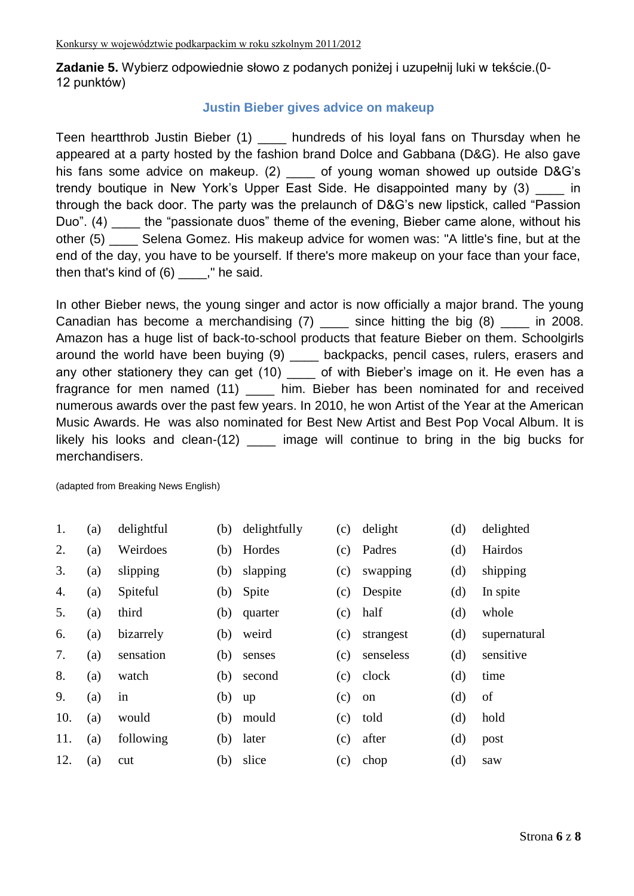**Zadanie 5.** Wybierz odpowiednie słowo z podanych poniżej i uzupełnij luki w tekście.(0- 12 punktów)

#### **Justin Bieber gives advice on makeup**

Teen heartthrob Justin Bieber (1) \_\_\_\_ hundreds of his loyal fans on Thursday when he appeared at a party hosted by the fashion brand Dolce and Gabbana (D&G). He also gave his fans some advice on makeup. (2) of young woman showed up outside D&G's trendy boutique in New York's Upper East Side. He disappointed many by (3) in through the back door. The party was the prelaunch of D&G's new lipstick, called "Passion Duo". (4) the "passionate duos" theme of the evening, Bieber came alone, without his other (5) \_\_\_\_ Selena Gomez. His makeup advice for women was: "A little's fine, but at the end of the day, you have to be yourself. If there's more makeup on your face than your face, then that's kind of  $(6)$  \_\_\_\_," he said.

In other Bieber news, the young singer and actor is now officially a major brand. The young Canadian has become a merchandising  $(7)$  since hitting the big  $(8)$  in 2008. Amazon has a huge list of back-to-school products that feature Bieber on them. Schoolgirls around the world have been buying (9) \_\_\_\_ backpacks, pencil cases, rulers, erasers and any other stationery they can get (10) \_\_\_\_ of with Bieber's image on it. He even has a fragrance for men named (11) \_ him. Bieber has been nominated for and received numerous awards over the past few years. In 2010, he won Artist of the Year at the American Music Awards. He was also nominated for Best New Artist and Best Pop Vocal Album. It is likely his looks and clean-(12) image will continue to bring in the big bucks for merchandisers.

(adapted from Breaking News English)

| 1.  | (a) | delightful | (b) | delightfully | (c) | delight   | (d) | delighted    |
|-----|-----|------------|-----|--------------|-----|-----------|-----|--------------|
| 2.  | (a) | Weirdoes   | (b) | Hordes       | (c) | Padres    | (d) | Hairdos      |
| 3.  | (a) | slipping   | (b) | slapping     | (c) | swapping  | (d) | shipping     |
| 4.  | (a) | Spiteful   | (b) | Spite        | (c) | Despite   | (d) | In spite     |
| 5.  | (a) | third      | (b) | quarter      | (c) | half      | (d) | whole        |
| 6.  | (a) | bizarrely  | (b) | weird        | (c) | strangest | (d) | supernatural |
| 7.  | (a) | sensation  | (b) | senses       | (c) | senseless | (d) | sensitive    |
| 8.  | (a) | watch      | (b) | second       | (c) | clock     | (d) | time         |
| 9.  | (a) | in         | (b) | up           | (c) | on        | (d) | of           |
| 10. | (a) | would      | (b) | mould        | (c) | told      | (d) | hold         |
| 11. | (a) | following  | (b) | later        | (c) | after     | (d) | post         |
| 12. | (a) | cut        | (b) | slice        | (c) | chop      | (d) | saw          |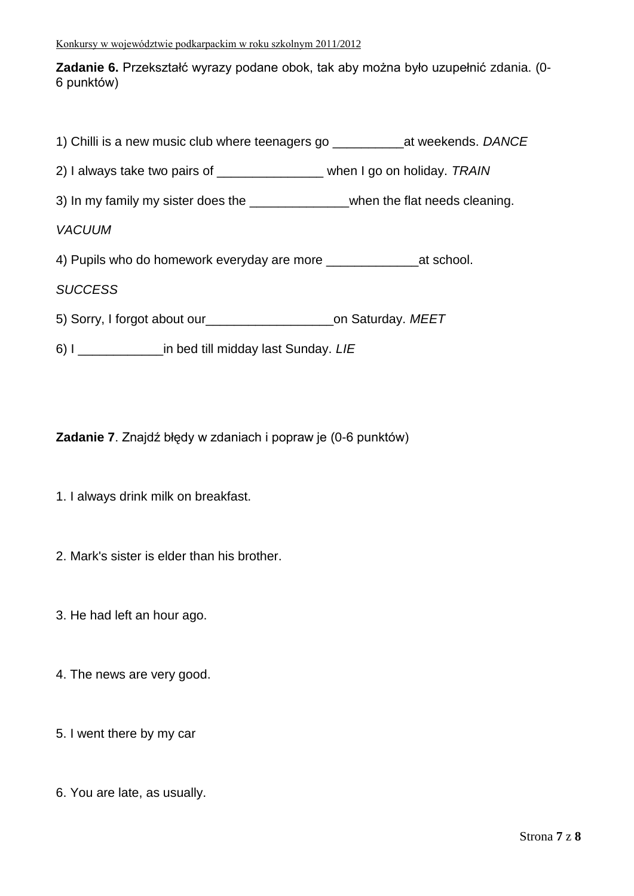**Zadanie 6.** Przekształć wyrazy podane obok, tak aby można było uzupełnić zdania. (0- 6 punktów)

| 1) Chilli is a new music club where teenagers go ________________________________ at weekends. DANCE |  |
|------------------------------------------------------------------------------------------------------|--|
| 2) I always take two pairs of _______________ when I go on holiday. TRAIN                            |  |
| 3) In my family my sister does the _________________when the flat needs cleaning.                    |  |
| <b>VACUUM</b>                                                                                        |  |
|                                                                                                      |  |
| <b>SUCCESS</b>                                                                                       |  |
| 5) Sorry, I forgot about our__________________________on Saturday. MEET                              |  |
|                                                                                                      |  |

6) I \_\_\_\_\_\_\_\_\_\_\_\_in bed till midday last Sunday. *LIE*

**Zadanie 7**. Znajdź błędy w zdaniach i popraw je (0-6 punktów)

- 1. I always drink milk on breakfast.
- 2. Mark's sister is elder than his brother.
- 3. He had left an hour ago.
- 4. The news are very good.
- 5. I went there by my car
- 6. You are late, as usually.